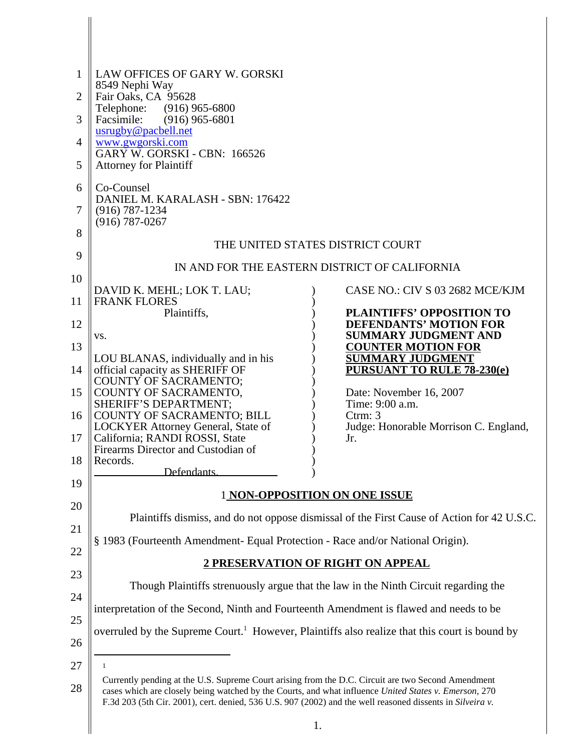| 1<br>$\overline{2}$ | LAW OFFICES OF GARY W. GORSKI<br>8549 Nephi Way<br>Fair Oaks, CA 95628                                                                                                                                                                                                                                                   |                                                                                            |  |  |  |
|---------------------|--------------------------------------------------------------------------------------------------------------------------------------------------------------------------------------------------------------------------------------------------------------------------------------------------------------------------|--------------------------------------------------------------------------------------------|--|--|--|
| 3                   | Telephone: (916) 965-6800<br>Facsimile:<br>$(916)$ 965-6801<br>usrugby@pacbell.net                                                                                                                                                                                                                                       |                                                                                            |  |  |  |
| 4                   | www.gwgorski.com<br>GARY W. GORSKI - CBN: 166526                                                                                                                                                                                                                                                                         |                                                                                            |  |  |  |
| 5                   | <b>Attorney for Plaintiff</b>                                                                                                                                                                                                                                                                                            |                                                                                            |  |  |  |
| 6<br>7              | Co-Counsel<br>DANIEL M. KARALASH - SBN: 176422<br>$(916) 787 - 1234$<br>$(916) 787 - 0267$                                                                                                                                                                                                                               |                                                                                            |  |  |  |
| 8                   |                                                                                                                                                                                                                                                                                                                          | THE UNITED STATES DISTRICT COURT                                                           |  |  |  |
| 9                   |                                                                                                                                                                                                                                                                                                                          |                                                                                            |  |  |  |
| 10                  |                                                                                                                                                                                                                                                                                                                          | IN AND FOR THE EASTERN DISTRICT OF CALIFORNIA                                              |  |  |  |
| 11                  | DAVID K. MEHL; LOK T. LAU;<br><b>FRANK FLORES</b>                                                                                                                                                                                                                                                                        | CASE NO.: CIV S 03 2682 MCE/KJM                                                            |  |  |  |
| 12                  | Plaintiffs,                                                                                                                                                                                                                                                                                                              | <b>PLAINTIFFS' OPPOSITION TO</b><br><b>DEFENDANTS' MOTION FOR</b>                          |  |  |  |
| 13                  | VS.                                                                                                                                                                                                                                                                                                                      | <b>SUMMARY JUDGMENT AND</b><br><b>COUNTER MOTION FOR</b>                                   |  |  |  |
| 14                  | LOU BLANAS, individually and in his<br>official capacity as SHERIFF OF                                                                                                                                                                                                                                                   | <b>SUMMARY JUDGMENT</b><br><b>PURSUANT TO RULE 78-230(e)</b>                               |  |  |  |
| 15                  | <b>COUNTY OF SACRAMENTO;</b><br>COUNTY OF SACRAMENTO,<br>SHERIFF'S DEPARTMENT;                                                                                                                                                                                                                                           | Date: November 16, 2007<br>Time: 9:00 a.m.                                                 |  |  |  |
| 16<br>17            | <b>COUNTY OF SACRAMENTO; BILL</b><br>LOCKYER Attorney General, State of<br>California; RANDI ROSSI, State                                                                                                                                                                                                                | $C$ trm: $3$<br>Judge: Honorable Morrison C. England,<br>Jr.                               |  |  |  |
|                     | Firearms Director and Custodian of                                                                                                                                                                                                                                                                                       |                                                                                            |  |  |  |
| 18                  | Records.<br>Defendants                                                                                                                                                                                                                                                                                                   |                                                                                            |  |  |  |
| 19                  |                                                                                                                                                                                                                                                                                                                          | 1 NON-OPPOSITION ON ONE ISSUE                                                              |  |  |  |
| 20                  |                                                                                                                                                                                                                                                                                                                          | Plaintiffs dismiss, and do not oppose dismissal of the First Cause of Action for 42 U.S.C. |  |  |  |
| 21<br>22            | § 1983 (Fourteenth Amendment- Equal Protection - Race and/or National Origin).                                                                                                                                                                                                                                           |                                                                                            |  |  |  |
| 23                  | <b>2 PRESERVATION OF RIGHT ON APPEAL</b>                                                                                                                                                                                                                                                                                 |                                                                                            |  |  |  |
| 24                  | Though Plaintiffs strenuously argue that the law in the Ninth Circuit regarding the                                                                                                                                                                                                                                      |                                                                                            |  |  |  |
| 25                  | interpretation of the Second, Ninth and Fourteenth Amendment is flawed and needs to be                                                                                                                                                                                                                                   |                                                                                            |  |  |  |
| 26                  | overruled by the Supreme Court. <sup>1</sup> However, Plaintiffs also realize that this court is bound by                                                                                                                                                                                                                |                                                                                            |  |  |  |
| 27                  | $\mathbf{1}$                                                                                                                                                                                                                                                                                                             |                                                                                            |  |  |  |
| 28                  | Currently pending at the U.S. Supreme Court arising from the D.C. Circuit are two Second Amendment<br>cases which are closely being watched by the Courts, and what influence United States v. Emerson, 270<br>F.3d 203 (5th Cir. 2001), cert. denied, 536 U.S. 907 (2002) and the well reasoned dissents in Silveira v. |                                                                                            |  |  |  |

 $\mathbb{I}$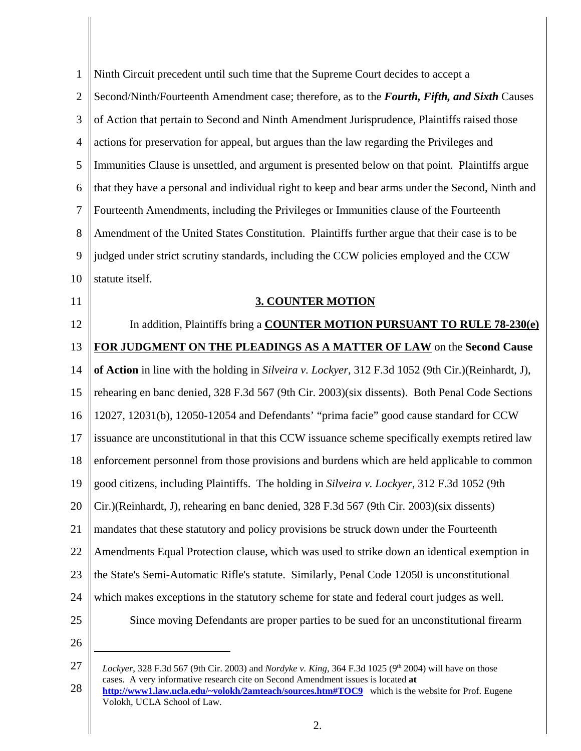| $\mathbf{1}$   | Ninth Circuit precedent until such time that the Supreme Court decides to accept a                                                                                                  |
|----------------|-------------------------------------------------------------------------------------------------------------------------------------------------------------------------------------|
| $\overline{2}$ | Second/Ninth/Fourteenth Amendment case; therefore, as to the Fourth, Fifth, and Sixth Causes                                                                                        |
| 3              | of Action that pertain to Second and Ninth Amendment Jurisprudence, Plaintiffs raised those                                                                                         |
| $\overline{4}$ | actions for preservation for appeal, but argues than the law regarding the Privileges and                                                                                           |
| 5              | Immunities Clause is unsettled, and argument is presented below on that point. Plaintiffs argue                                                                                     |
| 6              | that they have a personal and individual right to keep and bear arms under the Second, Ninth and                                                                                    |
| $\tau$         | Fourteenth Amendments, including the Privileges or Immunities clause of the Fourteenth                                                                                              |
| 8              | Amendment of the United States Constitution. Plaintiffs further argue that their case is to be                                                                                      |
| 9              | judged under strict scrutiny standards, including the CCW policies employed and the CCW                                                                                             |
| 10             | statute itself.                                                                                                                                                                     |
| 11             | <b>3. COUNTER MOTION</b>                                                                                                                                                            |
| 12             | In addition, Plaintiffs bring a <b>COUNTER MOTION PURSUANT TO RULE 78-230(e)</b>                                                                                                    |
| 13             | FOR JUDGMENT ON THE PLEADINGS AS A MATTER OF LAW on the Second Cause                                                                                                                |
| 14             | of Action in line with the holding in Silveira v. Lockyer, 312 F.3d 1052 (9th Cir.)(Reinhardt, J),                                                                                  |
| 15             | rehearing en banc denied, 328 F.3d 567 (9th Cir. 2003)(six dissents). Both Penal Code Sections                                                                                      |
| 16             | 12027, 12031(b), 12050-12054 and Defendants' "prima facie" good cause standard for CCW                                                                                              |
| 17             | issuance are unconstitutional in that this CCW issuance scheme specifically exempts retired law                                                                                     |
| 18             | enforcement personnel from those provisions and burdens which are held applicable to common                                                                                         |
| 19             | good citizens, including Plaintiffs. The holding in Silveira v. Lockyer, 312 F.3d 1052 (9th                                                                                         |
| 20             | Cir.)(Reinhardt, J), rehearing en banc denied, 328 F.3d 567 (9th Cir. 2003)(six dissents)                                                                                           |
| 21             | mandates that these statutory and policy provisions be struck down under the Fourteenth                                                                                             |
| 22             | Amendments Equal Protection clause, which was used to strike down an identical exemption in                                                                                         |
| 23             | the State's Semi-Automatic Rifle's statute. Similarly, Penal Code 12050 is unconstitutional                                                                                         |
| 24             | which makes exceptions in the statutory scheme for state and federal court judges as well.                                                                                          |
| 25             | Since moving Defendants are proper parties to be sued for an unconstitutional firearm                                                                                               |
| 26             |                                                                                                                                                                                     |
| 27             | Lockyer, 328 F.3d 567 (9th Cir. 2003) and Nordyke v. King, 364 F.3d 1025 (9th 2004) will have on those<br>A very informative research cite on Second Amendment issues is located at |

<sup>28</sup> cases. A very informative research cite on Second Amendment issues is located **at http://www1.law.ucla.edu/~volokh/2amteach/sources.htm#TOC9** which is the website for Prof. Eugene Volokh, UCLA School of Law.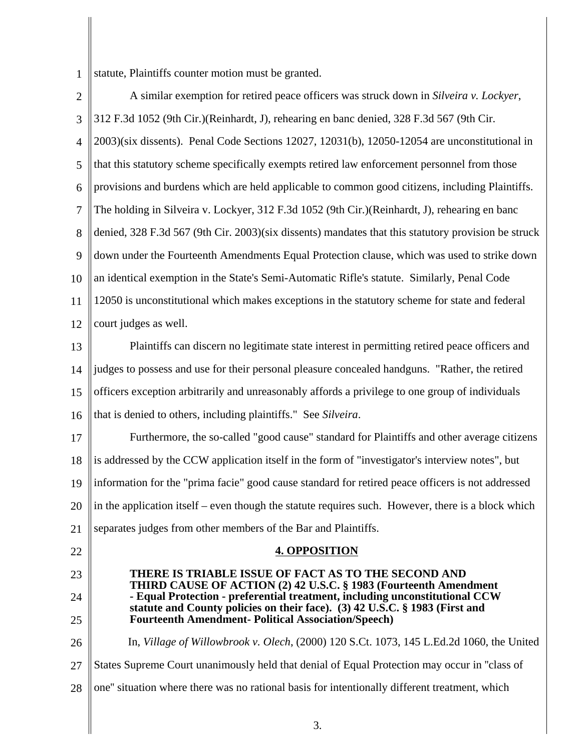1 statute, Plaintiffs counter motion must be granted.

23

24

25

 $\mathcal{L}$ 3 4 5 6 7 8  $\mathbf Q$ 10 11 12 13 14 15 16 17 18 19 20 21 22 A similar exemption for retired peace officers was struck down in *Silveira v. Lockyer*, 312 F.3d 1052 (9th Cir.)(Reinhardt, J), rehearing en banc denied, 328 F.3d 567 (9th Cir. 2003)(six dissents). Penal Code Sections 12027, 12031(b), 12050-12054 are unconstitutional in that this statutory scheme specifically exempts retired law enforcement personnel from those provisions and burdens which are held applicable to common good citizens, including Plaintiffs. The holding in Silveira v. Lockyer, 312 F.3d 1052 (9th Cir.)(Reinhardt, J), rehearing en banc denied, 328 F.3d 567 (9th Cir. 2003)(six dissents) mandates that this statutory provision be struck down under the Fourteenth Amendments Equal Protection clause, which was used to strike down an identical exemption in the State's Semi-Automatic Rifle's statute. Similarly, Penal Code 12050 is unconstitutional which makes exceptions in the statutory scheme for state and federal court judges as well. Plaintiffs can discern no legitimate state interest in permitting retired peace officers and judges to possess and use for their personal pleasure concealed handguns. "Rather, the retired officers exception arbitrarily and unreasonably affords a privilege to one group of individuals that is denied to others, including plaintiffs." See *Silveira*. Furthermore, the so-called "good cause" standard for Plaintiffs and other average citizens is addressed by the CCW application itself in the form of "investigator's interview notes", but information for the "prima facie" good cause standard for retired peace officers is not addressed in the application itself – even though the statute requires such. However, there is a block which separates judges from other members of the Bar and Plaintiffs.

## **4. OPPOSITION**

**THERE IS TRIABLE ISSUE OF FACT AS TO THE SECOND AND THIRD CAUSE OF ACTION (2) 42 U.S.C. § 1983 (Fourteenth Amendment - Equal Protection - preferential treatment, including unconstitutional CCW statute and County policies on their face). (3) 42 U.S.C. § 1983 (First and Fourteenth Amendment- Political Association/Speech)** 

26 27 28 In, *Village of Willowbrook v. Olech*, (2000) 120 S.Ct. 1073, 145 L.Ed.2d 1060, the United States Supreme Court unanimously held that denial of Equal Protection may occur in ''class of one'' situation where there was no rational basis for intentionally different treatment, which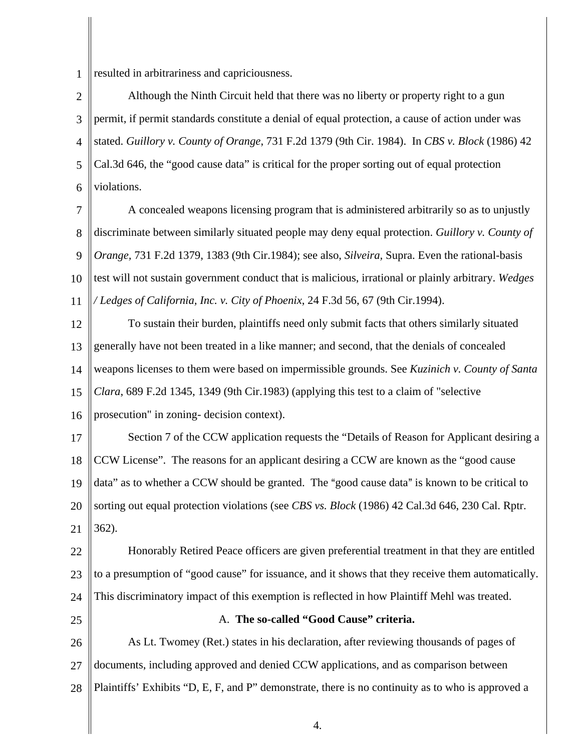1 resulted in arbitrariness and capriciousness.

 $\mathcal{L}$ 3 4 5 6 Although the Ninth Circuit held that there was no liberty or property right to a gun permit, if permit standards constitute a denial of equal protection, a cause of action under was stated. *Guillory v. County of Orange*, 731 F.2d 1379 (9th Cir. 1984). In *CBS v. Block* (1986) 42 Cal.3d 646, the "good cause data" is critical for the proper sorting out of equal protection violations.

7 8 9 10 11 A concealed weapons licensing program that is administered arbitrarily so as to unjustly discriminate between similarly situated people may deny equal protection. *Guillory v. County of Orange,* 731 F.2d 1379, 1383 (9th Cir.1984); see also, *Silveira,* Supra. Even the rational-basis test will not sustain government conduct that is malicious, irrational or plainly arbitrary. *Wedges / Ledges of California, Inc. v. City of Phoenix*, 24 F.3d 56, 67 (9th Cir.1994).

12 13 14 15 16 To sustain their burden, plaintiffs need only submit facts that others similarly situated generally have not been treated in a like manner; and second, that the denials of concealed weapons licenses to them were based on impermissible grounds. See *Kuzinich v. County of Santa Clara*, 689 F.2d 1345, 1349 (9th Cir.1983) (applying this test to a claim of "selective prosecution" in zoning- decision context).

17 18 19 20 21 Section 7 of the CCW application requests the "Details of Reason for Applicant desiring a CCW License". The reasons for an applicant desiring a CCW are known as the "good cause data" as to whether a CCW should be granted. The "good cause data" is known to be critical to sorting out equal protection violations (see *CBS vs. Block* (1986) 42 Cal.3d 646, 230 Cal. Rptr. 362).

22 23 24 Honorably Retired Peace officers are given preferential treatment in that they are entitled to a presumption of "good cause" for issuance, and it shows that they receive them automatically. This discriminatory impact of this exemption is reflected in how Plaintiff Mehl was treated.

25

## A. **The so-called "Good Cause" criteria.**

26 27 28 As Lt. Twomey (Ret.) states in his declaration, after reviewing thousands of pages of documents, including approved and denied CCW applications, and as comparison between Plaintiffs' Exhibits "D, E, F, and P" demonstrate, there is no continuity as to who is approved a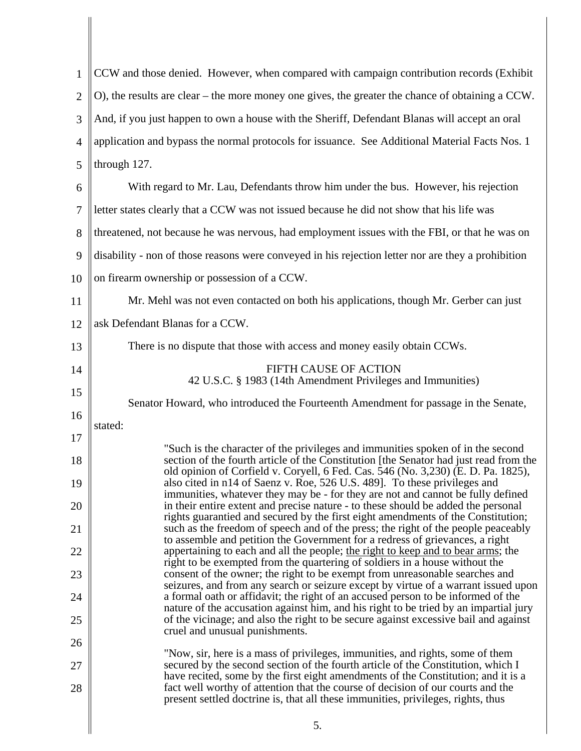| $\mathbf{1}$   | CCW and those denied. However, when compared with campaign contribution records (Exhibit                                                                                   |
|----------------|----------------------------------------------------------------------------------------------------------------------------------------------------------------------------|
| $\overline{2}$ | O), the results are clear – the more money one gives, the greater the chance of obtaining a CCW.                                                                           |
| 3              | And, if you just happen to own a house with the Sheriff, Defendant Blanas will accept an oral                                                                              |
| $\overline{4}$ | application and bypass the normal protocols for issuance. See Additional Material Facts Nos. 1                                                                             |
| 5              | through 127.                                                                                                                                                               |
| 6              | With regard to Mr. Lau, Defendants throw him under the bus. However, his rejection                                                                                         |
| 7              | letter states clearly that a CCW was not issued because he did not show that his life was                                                                                  |
| 8              | threatened, not because he was nervous, had employment issues with the FBI, or that he was on                                                                              |
| 9              | disability - non of those reasons were conveyed in his rejection letter nor are they a prohibition                                                                         |
| 10             | on firearm ownership or possession of a CCW.                                                                                                                               |
| 11             | Mr. Mehl was not even contacted on both his applications, though Mr. Gerber can just                                                                                       |
| 12             | ask Defendant Blanas for a CCW.                                                                                                                                            |
| 13             | There is no dispute that those with access and money easily obtain CCWs.                                                                                                   |
| 14             | FIFTH CAUSE OF ACTION<br>42 U.S.C. § 1983 (14th Amendment Privileges and Immunities)                                                                                       |
| 15             | Senator Howard, who introduced the Fourteenth Amendment for passage in the Senate,                                                                                         |
| 16             | stated:                                                                                                                                                                    |
| 17             | "Such is the character of the privileges and immunities spoken of in the second                                                                                            |
| 18             | section of the fourth article of the Constitution [the Senator had just read from the<br>old opinion of Corfield v. Coryell, 6 Fed. Cas. 546 (No. 3,230) (E. D. Pa. 1825), |
| 19             | also cited in n14 of Saenz v. Roe, 526 U.S. 489]. To these privileges and<br>immunities, whatever they may be - for they are not and cannot be fully defined               |
| 20             | in their entire extent and precise nature - to these should be added the personal<br>rights guarantied and secured by the first eight amendments of the Constitution;      |
| 21             | such as the freedom of speech and of the press; the right of the people peaceably<br>to assemble and petition the Government for a redress of grievances, a right          |
| 22             | appertaining to each and all the people; the right to keep and to bear arms; the<br>right to be exempted from the quartering of soldiers in a house without the            |
| 23             | consent of the owner; the right to be exempt from unreasonable searches and<br>seizures, and from any search or seizure except by virtue of a warrant issued upon          |
| 24             | a formal oath or affidavit; the right of an accused person to be informed of the<br>nature of the accusation against him, and his right to be tried by an impartial jury   |
| 25             | of the vicinage; and also the right to be secure against excessive bail and against<br>cruel and unusual punishments.                                                      |
| 26             | "Now, sir, here is a mass of privileges, immunities, and rights, some of them                                                                                              |
| 27             | secured by the second section of the fourth article of the Constitution, which I<br>have recited, some by the first eight amendments of the Constitution; and it is a      |
| 28             | fact well worthy of attention that the course of decision of our courts and the<br>present settled doctrine is, that all these immunities, privileges, rights, thus        |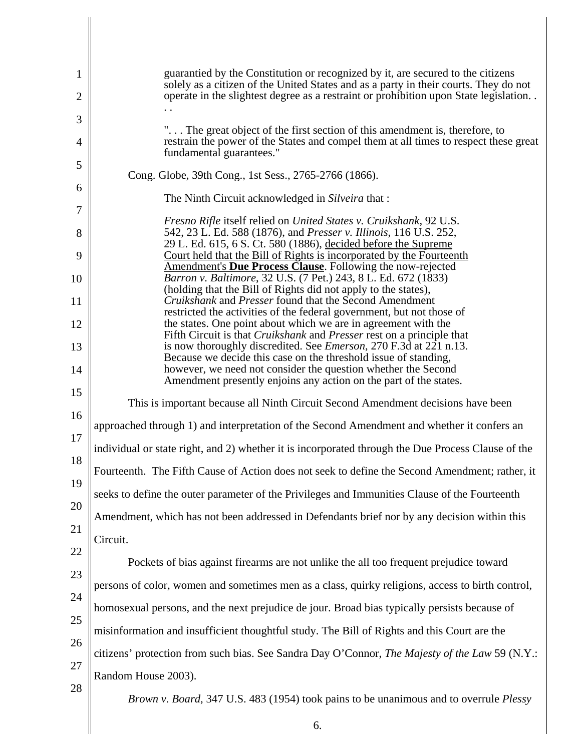| $\mathbf{1}$   | guarantied by the Constitution or recognized by it, are secured to the citizens                                                                                                                               |  |  |
|----------------|---------------------------------------------------------------------------------------------------------------------------------------------------------------------------------------------------------------|--|--|
| $\overline{2}$ | solely as a citizen of the United States and as a party in their courts. They do not<br>operate in the slightest degree as a restraint or prohibition upon State legislation                                  |  |  |
| 3              | " The great object of the first section of this amendment is, therefore, to                                                                                                                                   |  |  |
| 4<br>5         | restrain the power of the States and compel them at all times to respect these great<br>fundamental guarantees."                                                                                              |  |  |
|                | Cong. Globe, 39th Cong., 1st Sess., 2765-2766 (1866).                                                                                                                                                         |  |  |
| 6<br>7         | The Ninth Circuit acknowledged in Silveira that :                                                                                                                                                             |  |  |
| 8              | Fresno Rifle itself relied on United States v. Cruikshank, 92 U.S.<br>542, 23 L. Ed. 588 (1876), and <i>Presser v. Illinois</i> , 116 U.S. 252,                                                               |  |  |
| 9              | 29 L. Ed. 615, 6 S. Ct. 580 (1886), decided before the Supreme<br>Court held that the Bill of Rights is incorporated by the Fourteenth                                                                        |  |  |
| 10             | Amendment's Due Process Clause. Following the now-rejected<br>Barron v. Baltimore, 32 U.S. (7 Pet.) 243, 8 L. Ed. 672 (1833)<br>(holding that the Bill of Rights did not apply to the states),                |  |  |
| 11             | Cruikshank and Presser found that the Second Amendment<br>restricted the activities of the federal government, but not those of                                                                               |  |  |
| 12             | the states. One point about which we are in agreement with the<br>Fifth Circuit is that <i>Cruikshank</i> and <i>Presser</i> rest on a principle that                                                         |  |  |
| 13<br>14       | is now thoroughly discredited. See <i>Emerson</i> , 270 F.3d at 221 n.13.<br>Because we decide this case on the threshold issue of standing,<br>however, we need not consider the question whether the Second |  |  |
| 15             | Amendment presently enjoins any action on the part of the states.                                                                                                                                             |  |  |
| 16             | This is important because all Ninth Circuit Second Amendment decisions have been                                                                                                                              |  |  |
| 17             | approached through 1) and interpretation of the Second Amendment and whether it confers an                                                                                                                    |  |  |
| 18             | individual or state right, and 2) whether it is incorporated through the Due Process Clause of the                                                                                                            |  |  |
| 19             | Fourteenth. The Fifth Cause of Action does not seek to define the Second Amendment; rather, it                                                                                                                |  |  |
|                | seeks to define the outer parameter of the Privileges and Immunities Clause of the Fourteenth                                                                                                                 |  |  |
| 20             | Amendment, which has not been addressed in Defendants brief nor by any decision within this                                                                                                                   |  |  |
| 21             | Circuit.                                                                                                                                                                                                      |  |  |
| 22             | Pockets of bias against firearms are not unlike the all too frequent prejudice toward                                                                                                                         |  |  |
| 23             | persons of color, women and sometimes men as a class, quirky religions, access to birth control,                                                                                                              |  |  |
| 24             | homosexual persons, and the next prejudice de jour. Broad bias typically persists because of                                                                                                                  |  |  |
| 25             | misinformation and insufficient thoughtful study. The Bill of Rights and this Court are the                                                                                                                   |  |  |
| 26             | citizens' protection from such bias. See Sandra Day O'Connor, The Majesty of the Law 59 (N.Y.:                                                                                                                |  |  |
| 27             | Random House 2003).                                                                                                                                                                                           |  |  |
| 28             | Brown v. Board, 347 U.S. 483 (1954) took pains to be unanimous and to overrule <i>Plessy</i>                                                                                                                  |  |  |
|                | 6.                                                                                                                                                                                                            |  |  |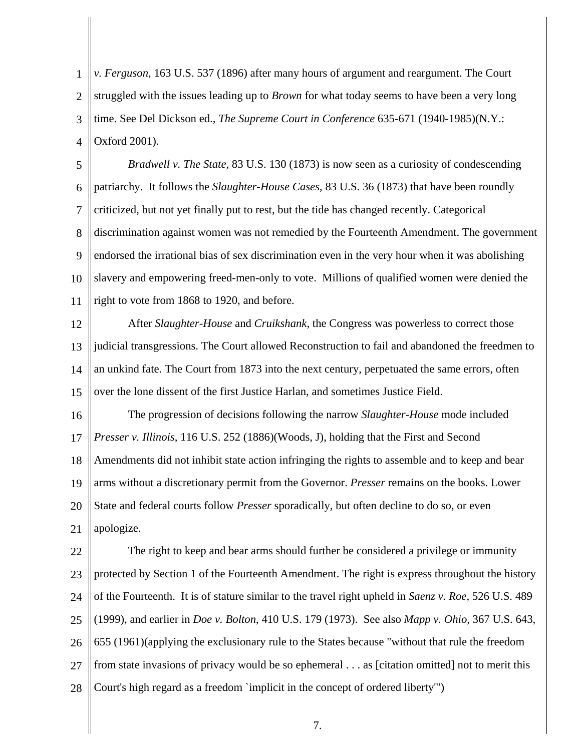1  $\mathcal{D}_{\mathcal{L}}$ 3 4 *v. Ferguson*, 163 U.S. 537 (1896) after many hours of argument and reargument. The Court struggled with the issues leading up to *Brown* for what today seems to have been a very long time. See Del Dickson ed., *The Supreme Court in Conference* 635-671 (1940-1985)(N.Y.: Oxford 2001).

5 6 7 8 9 10 11 *Bradwell v. The State*, 83 U.S. 130 (1873) is now seen as a curiosity of condescending patriarchy. It follows the *Slaughter-House Cases*, 83 U.S. 36 (1873) that have been roundly criticized, but not yet finally put to rest, but the tide has changed recently. Categorical discrimination against women was not remedied by the Fourteenth Amendment. The government endorsed the irrational bias of sex discrimination even in the very hour when it was abolishing slavery and empowering freed-men-only to vote. Millions of qualified women were denied the right to vote from 1868 to 1920, and before.

After *Slaughter-House* and *Cruikshank*, the Congress was powerless to correct those judicial transgressions. The Court allowed Reconstruction to fail and abandoned the freedmen to an unkind fate. The Court from 1873 into the next century, perpetuated the same errors, often

12

13

14

15 over the lone dissent of the first Justice Harlan, and sometimes Justice Field.

16 17 18 19 20 21 The progression of decisions following the narrow *Slaughter-House* mode included *Presser v. Illinois*, 116 U.S. 252 (1886)(Woods, J), holding that the First and Second Amendments did not inhibit state action infringing the rights to assemble and to keep and bear arms without a discretionary permit from the Governor. *Presser* remains on the books. Lower State and federal courts follow *Presser* sporadically, but often decline to do so, or even apologize.

22 23 24 25 26 27 28 The right to keep and bear arms should further be considered a privilege or immunity protected by Section 1 of the Fourteenth Amendment. The right is express throughout the history of the Fourteenth. It is of stature similar to the travel right upheld in *Saenz v. Roe*, 526 U.S. 489 (1999), and earlier in *Doe v. Bolton*, 410 U.S. 179 (1973). See also *Mapp v. Ohio*, 367 U.S. 643, 655 (1961)(applying the exclusionary rule to the States because "without that rule the freedom from state invasions of privacy would be so ephemeral . . . as [citation omitted] not to merit this Court's high regard as a freedom `implicit in the concept of ordered liberty'")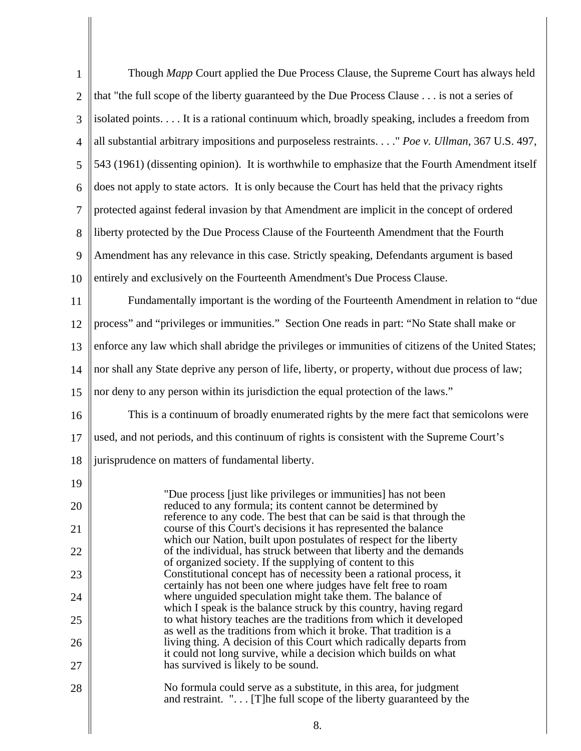| $\mathbf{1}$   | Though Mapp Court applied the Due Process Clause, the Supreme Court has always held                                                       |  |  |
|----------------|-------------------------------------------------------------------------------------------------------------------------------------------|--|--|
| $\overline{2}$ | that "the full scope of the liberty guaranteed by the Due Process Clause is not a series of                                               |  |  |
| 3              | isolated points It is a rational continuum which, broadly speaking, includes a freedom from                                               |  |  |
| $\overline{4}$ | all substantial arbitrary impositions and purposeless restraints. " Poe v. Ullman, 367 U.S. 497,                                          |  |  |
| 5              | 543 (1961) (dissenting opinion). It is worthwhile to emphasize that the Fourth Amendment itself                                           |  |  |
| 6              | does not apply to state actors. It is only because the Court has held that the privacy rights                                             |  |  |
| $\overline{7}$ | protected against federal invasion by that Amendment are implicit in the concept of ordered                                               |  |  |
| 8              | liberty protected by the Due Process Clause of the Fourteenth Amendment that the Fourth                                                   |  |  |
| 9              | Amendment has any relevance in this case. Strictly speaking, Defendants argument is based                                                 |  |  |
| 10             | entirely and exclusively on the Fourteenth Amendment's Due Process Clause.                                                                |  |  |
| 11             | Fundamentally important is the wording of the Fourteenth Amendment in relation to "due"                                                   |  |  |
| 12             | process" and "privileges or immunities." Section One reads in part: "No State shall make or                                               |  |  |
| 13             | enforce any law which shall abridge the privileges or immunities of citizens of the United States;                                        |  |  |
| 14             | nor shall any State deprive any person of life, liberty, or property, without due process of law;                                         |  |  |
| 15             | nor deny to any person within its jurisdiction the equal protection of the laws."                                                         |  |  |
| 16             | This is a continuum of broadly enumerated rights by the mere fact that semicolons were                                                    |  |  |
| 17             | used, and not periods, and this continuum of rights is consistent with the Supreme Court's                                                |  |  |
| 18             | jurisprudence on matters of fundamental liberty.                                                                                          |  |  |
| 19             |                                                                                                                                           |  |  |
| 20             | "Due process [just like privileges or immunities] has not been<br>reduced to any formula; its content cannot be determined by             |  |  |
| 21             | reference to any code. The best that can be said is that through the<br>course of this Court's decisions it has represented the balance   |  |  |
| 22             | which our Nation, built upon postulates of respect for the liberty<br>of the individual, has struck between that liberty and the demands  |  |  |
| 23             | of organized society. If the supplying of content to this<br>Constitutional concept has of necessity been a rational process, it          |  |  |
| 24             | certainly has not been one where judges have felt free to roam<br>where unguided speculation might take them. The balance of              |  |  |
| 25             | which I speak is the balance struck by this country, having regard<br>to what history teaches are the traditions from which it developed  |  |  |
| 26             | as well as the traditions from which it broke. That tradition is a<br>living thing. A decision of this Court which radically departs from |  |  |
| 27             | it could not long survive, while a decision which builds on what<br>has survived is likely to be sound.                                   |  |  |
| 28             | No formula could serve as a substitute, in this area, for judgment<br>and restraint. " [T] he full scope of the liberty guaranteed by the |  |  |
|                | 8.                                                                                                                                        |  |  |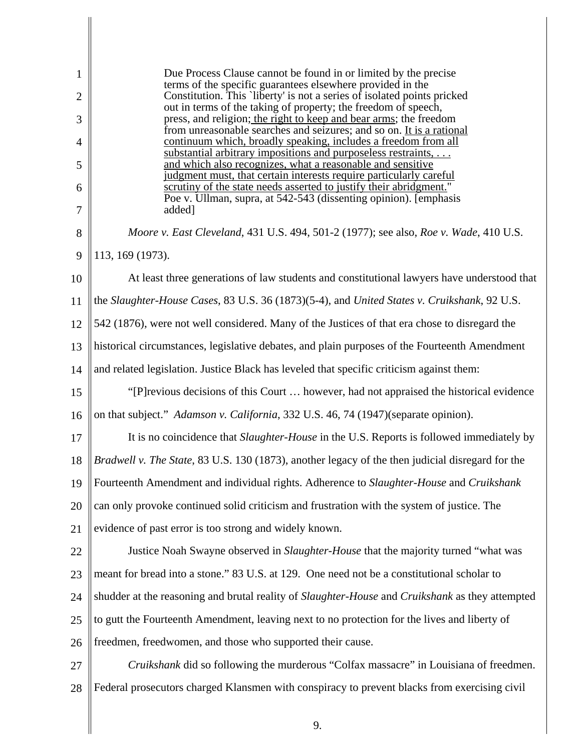| $\mathbf{1}$   | Due Process Clause cannot be found in or limited by the precise                                                                          |
|----------------|------------------------------------------------------------------------------------------------------------------------------------------|
| $\overline{2}$ | terms of the specific guarantees elsewhere provided in the<br>Constitution. This 'liberty' is not a series of isolated points pricked    |
| 3              | out in terms of the taking of property; the freedom of speech,<br>press, and religion; the right to keep and bear arms; the freedom      |
| 4              | from unreasonable searches and seizures; and so on. It is a rational<br>continuum which, broadly speaking, includes a freedom from all   |
| 5              | substantial arbitrary impositions and purposeless restraints,<br>and which also recognizes, what a reasonable and sensitive              |
| 6              | judgment must, that certain interests require particularly careful<br>scrutiny of the state needs asserted to justify their abridgment." |
| 7              | Poe v. Ullman, supra, at 542-543 (dissenting opinion). [emphasis<br>added]                                                               |
| 8              | Moore v. East Cleveland, 431 U.S. 494, 501-2 (1977); see also, Roe v. Wade, 410 U.S.                                                     |
| 9              | 113, 169 (1973).                                                                                                                         |
| 10             | At least three generations of law students and constitutional lawyers have understood that                                               |
| 11             | the Slaughter-House Cases, 83 U.S. 36 (1873)(5-4), and United States v. Cruikshank, 92 U.S.                                              |
| 12             | 542 (1876), were not well considered. Many of the Justices of that era chose to disregard the                                            |
| 13             | historical circumstances, legislative debates, and plain purposes of the Fourteenth Amendment                                            |
| 14             | and related legislation. Justice Black has leveled that specific criticism against them:                                                 |
| 15             | "[P] revious decisions of this Court  however, had not appraised the historical evidence                                                 |
| 16             | on that subject." Adamson v. California, 332 U.S. 46, 74 (1947) (separate opinion).                                                      |
| 17             | It is no coincidence that <i>Slaughter-House</i> in the U.S. Reports is followed immediately by                                          |
| 18             | <i>Bradwell v. The State, 83 U.S. 130 (1873), another legacy of the then judicial disregard for the</i>                                  |
| 19             | Fourteenth Amendment and individual rights. Adherence to Slaughter-House and Cruikshank                                                  |
| 20             | can only provoke continued solid criticism and frustration with the system of justice. The                                               |
| 21             | evidence of past error is too strong and widely known.                                                                                   |
| 22             | Justice Noah Swayne observed in Slaughter-House that the majority turned "what was                                                       |
| 23             | meant for bread into a stone." 83 U.S. at 129. One need not be a constitutional scholar to                                               |
| 24             | shudder at the reasoning and brutal reality of Slaughter-House and Cruikshank as they attempted                                          |
| 25             | to gutt the Fourteenth Amendment, leaving next to no protection for the lives and liberty of                                             |
| 26             | freedmen, freedwomen, and those who supported their cause.                                                                               |
| 27             | Cruikshank did so following the murderous "Colfax massacre" in Louisiana of freedmen.                                                    |
| 28             | Federal prosecutors charged Klansmen with conspiracy to prevent blacks from exercising civil                                             |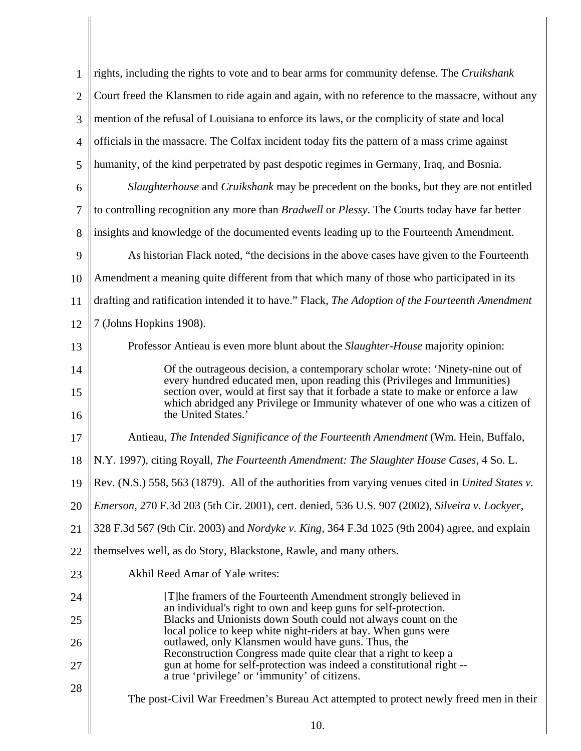| $\mathbf{1}$   | rights, including the rights to vote and to bear arms for community defense. The Cruikshank                                                                                               |  |  |
|----------------|-------------------------------------------------------------------------------------------------------------------------------------------------------------------------------------------|--|--|
| $\overline{2}$ | Court freed the Klansmen to ride again and again, with no reference to the massacre, without any                                                                                          |  |  |
| 3              | mention of the refusal of Louisiana to enforce its laws, or the complicity of state and local                                                                                             |  |  |
| $\overline{4}$ | officials in the massacre. The Colfax incident today fits the pattern of a mass crime against                                                                                             |  |  |
| 5              | humanity, of the kind perpetrated by past despotic regimes in Germany, Iraq, and Bosnia.                                                                                                  |  |  |
| 6              | Slaughterhouse and Cruikshank may be precedent on the books, but they are not entitled                                                                                                    |  |  |
| 7              | to controlling recognition any more than <i>Bradwell</i> or <i>Plessy</i> . The Courts today have far better                                                                              |  |  |
| 8              | insights and knowledge of the documented events leading up to the Fourteenth Amendment.                                                                                                   |  |  |
| 9              | As historian Flack noted, "the decisions in the above cases have given to the Fourteenth                                                                                                  |  |  |
| 10             | Amendment a meaning quite different from that which many of those who participated in its                                                                                                 |  |  |
| 11             | drafting and ratification intended it to have." Flack, The Adoption of the Fourteenth Amendment                                                                                           |  |  |
| 12             | 7 (Johns Hopkins 1908).                                                                                                                                                                   |  |  |
| 13             | Professor Antieau is even more blunt about the <i>Slaughter-House</i> majority opinion:                                                                                                   |  |  |
| 14             | Of the outrageous decision, a contemporary scholar wrote: 'Ninety-nine out of<br>every hundred educated men, upon reading this (Privileges and Immunities)                                |  |  |
| 15<br>16       | section over, would at first say that it forbade a state to make or enforce a law<br>which abridged any Privilege or Immunity whatever of one who was a citizen of<br>the United States.' |  |  |
| 17             | Antieau, The Intended Significance of the Fourteenth Amendment (Wm. Hein, Buffalo,                                                                                                        |  |  |
| 18             | N.Y. 1997), citing Royall, The Fourteenth Amendment: The Slaughter House Cases, 4 So. L.                                                                                                  |  |  |
| 19             | Rev. (N.S.) 558, 563 (1879). All of the authorities from varying venues cited in United States v.                                                                                         |  |  |
| 20             | Emerson, 270 F.3d 203 (5th Cir. 2001), cert. denied, 536 U.S. 907 (2002), Silveira v. Lockyer,                                                                                            |  |  |
| 21             | 328 F.3d 567 (9th Cir. 2003) and <i>Nordyke v. King</i> , 364 F.3d 1025 (9th 2004) agree, and explain                                                                                     |  |  |
| 22             | themselves well, as do Story, Blackstone, Rawle, and many others.                                                                                                                         |  |  |
| 23             | Akhil Reed Amar of Yale writes:                                                                                                                                                           |  |  |
| 24             | [T] he framers of the Fourteenth Amendment strongly believed in                                                                                                                           |  |  |
| 25             | an individual's right to own and keep guns for self-protection.<br>Blacks and Unionists down South could not always count on the                                                          |  |  |
| 26             | local police to keep white night-riders at bay. When guns were<br>outlawed, only Klansmen would have guns. Thus, the                                                                      |  |  |
| 27             | Reconstruction Congress made quite clear that a right to keep a<br>gun at home for self-protection was indeed a constitutional right --                                                   |  |  |
| 28             | a true 'privilege' or 'immunity' of citizens.                                                                                                                                             |  |  |
|                | The post-Civil War Freedmen's Bureau Act attempted to protect newly freed men in their                                                                                                    |  |  |
|                | 10.                                                                                                                                                                                       |  |  |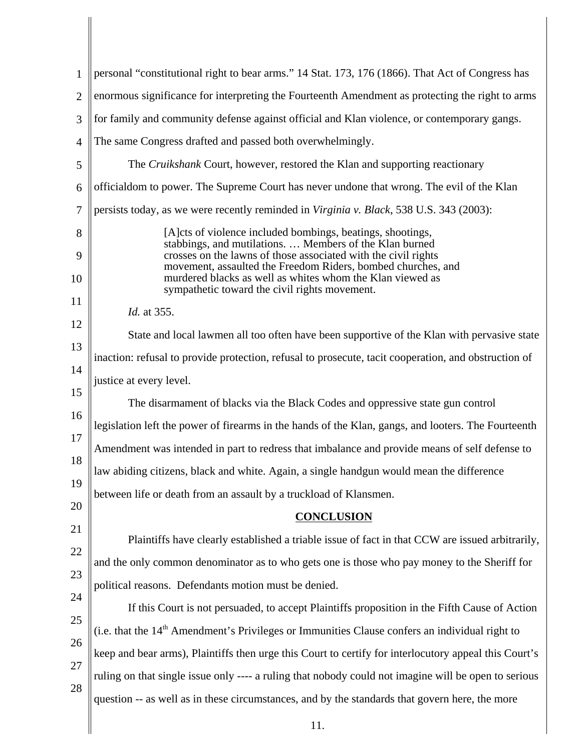| $\mathbf{1}$   | personal "constitutional right to bear arms." 14 Stat. 173, 176 (1866). That Act of Congress has                                                                                                                                             |  |  |  |
|----------------|----------------------------------------------------------------------------------------------------------------------------------------------------------------------------------------------------------------------------------------------|--|--|--|
| $\overline{2}$ | enormous significance for interpreting the Fourteenth Amendment as protecting the right to arms                                                                                                                                              |  |  |  |
| 3              | for family and community defense against official and Klan violence, or contemporary gangs.                                                                                                                                                  |  |  |  |
| $\overline{4}$ | The same Congress drafted and passed both overwhelmingly.                                                                                                                                                                                    |  |  |  |
| 5              | The <i>Cruikshank</i> Court, however, restored the Klan and supporting reactionary                                                                                                                                                           |  |  |  |
| 6              | officialdom to power. The Supreme Court has never undone that wrong. The evil of the Klan                                                                                                                                                    |  |  |  |
| 7              | persists today, as we were recently reminded in <i>Virginia v. Black</i> , 538 U.S. 343 (2003):                                                                                                                                              |  |  |  |
| 8              | [A]cts of violence included bombings, beatings, shootings,<br>stabbings, and mutilations.  Members of the Klan burned                                                                                                                        |  |  |  |
| 9              | crosses on the lawns of those associated with the civil rights<br>movement, assaulted the Freedom Riders, bombed churches, and<br>murdered blacks as well as whites whom the Klan viewed as<br>sympathetic toward the civil rights movement. |  |  |  |
| 10             |                                                                                                                                                                                                                                              |  |  |  |
| 11             | <i>Id.</i> at 355.                                                                                                                                                                                                                           |  |  |  |
| 12             | State and local lawmen all too often have been supportive of the Klan with pervasive state                                                                                                                                                   |  |  |  |
| 13             | inaction: refusal to provide protection, refusal to prosecute, tacit cooperation, and obstruction of                                                                                                                                         |  |  |  |
| 14             | justice at every level.                                                                                                                                                                                                                      |  |  |  |
| 15             | The disarmament of blacks via the Black Codes and oppressive state gun control                                                                                                                                                               |  |  |  |
| 16             | legislation left the power of firearms in the hands of the Klan, gangs, and looters. The Fourteenth                                                                                                                                          |  |  |  |
| 17             | Amendment was intended in part to redress that imbalance and provide means of self defense to                                                                                                                                                |  |  |  |
| 18             | law abiding citizens, black and white. Again, a single handgun would mean the difference                                                                                                                                                     |  |  |  |
| 19<br>20       | between life or death from an assault by a truckload of Klansmen.                                                                                                                                                                            |  |  |  |
| 21             | <b>CONCLUSION</b>                                                                                                                                                                                                                            |  |  |  |
| 22             | Plaintiffs have clearly established a triable issue of fact in that CCW are issued arbitrarily,                                                                                                                                              |  |  |  |
| 23             | and the only common denominator as to who gets one is those who pay money to the Sheriff for                                                                                                                                                 |  |  |  |
| 24             | political reasons. Defendants motion must be denied.                                                                                                                                                                                         |  |  |  |
| 25             | If this Court is not persuaded, to accept Plaintiffs proposition in the Fifth Cause of Action                                                                                                                                                |  |  |  |
| 26             | (i.e. that the 14 <sup>th</sup> Amendment's Privileges or Immunities Clause confers an individual right to                                                                                                                                   |  |  |  |
| 27             | keep and bear arms), Plaintiffs then urge this Court to certify for interlocutory appeal this Court's                                                                                                                                        |  |  |  |
| 28             | ruling on that single issue only ---- a ruling that nobody could not imagine will be open to serious                                                                                                                                         |  |  |  |
|                | question -- as well as in these circumstances, and by the standards that govern here, the more                                                                                                                                               |  |  |  |
|                | 11.                                                                                                                                                                                                                                          |  |  |  |